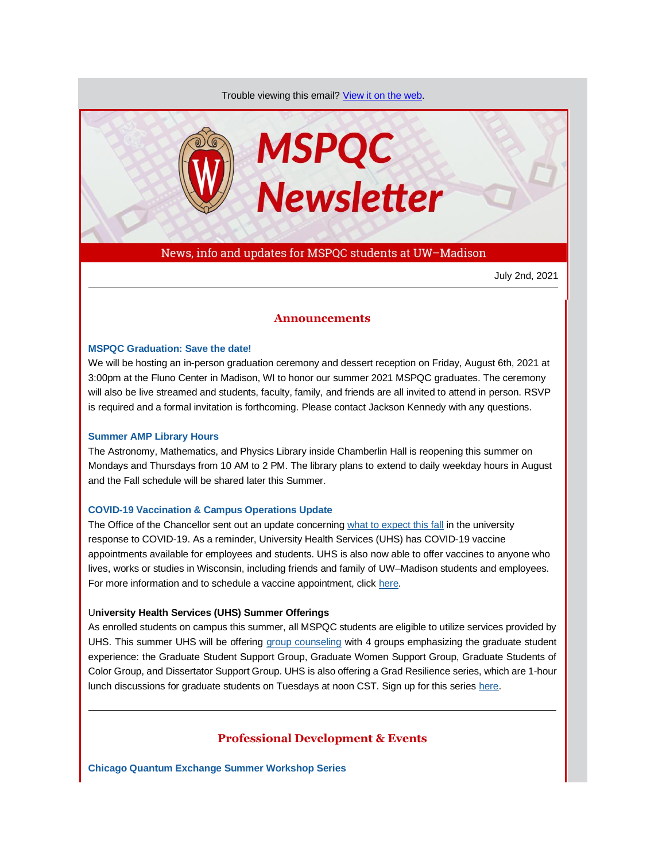Trouble viewing this email? [View it on the web.](https://app.explore.wisc.edu/e/es?s=1427524768&e=706870&elqTrackId=51e861781d16471282f1c296cabd15a9&elq=cc7ee8859e3d4b01a38f2ae54292ff10&elqaid=18086&elqat=1)



News, info and updates for MSPQC students at UW–Madison

July 2nd, 2021

# **Announcements**

# **[MSPQC Graduation: Save the date!](https://app.explore.wisc.edu/e/er?s=1427524768&lid=19396&elqTrackId=9EE0CF8B81D8B47EF5AA77BC1BD245C0&elq=cc7ee8859e3d4b01a38f2ae54292ff10&elqaid=18086&elqat=1)**

We will be hosting an in-person graduation ceremony and dessert reception on Friday, August 6th, 2021 at 3:00pm at the Fluno Center in Madison, WI to honor our summer 2021 MSPQC graduates. The ceremony will also be live streamed and students, faculty, family, and friends are all invited to attend in person. RSVP is required and a formal invitation is forthcoming. Please contact Jackson Kennedy with any questions.

#### **[Summer AMP Library Hours](https://app.explore.wisc.edu/e/er?s=1427524768&lid=19021&elqTrackId=60F92D04F8F9C35CB715F7410ABF05B4&elq=cc7ee8859e3d4b01a38f2ae54292ff10&elqaid=18086&elqat=1)**

The Astronomy, Mathematics, and Physics Library inside Chamberlin Hall is reopening this summer on Mondays and Thursdays from 10 AM to 2 PM. The library plans to extend to daily weekday hours in August and the Fall schedule will be shared later this Summer.

#### **[COVID-19 Vaccination & Campus Operations Update](https://app.explore.wisc.edu/e/er?s=1427524768&lid=19294&elqTrackId=09F6ABA75DB582920EC68EBC922B7E5C&elq=cc7ee8859e3d4b01a38f2ae54292ff10&elqaid=18086&elqat=1)**

The Office of the Chancellor sent out an update concerning [what to expect this fall](https://app.explore.wisc.edu/e/er?s=1427524768&lid=19294&elqTrackId=09F6ABA75DB582920EC68EBC922B7E5C&elq=cc7ee8859e3d4b01a38f2ae54292ff10&elqaid=18086&elqat=1) in the university response to COVID-19. As a reminder, University Health Services (UHS) has COVID-19 vaccine appointments available for employees and students. UHS is also now able to offer vaccines to anyone who lives, works or studies in Wisconsin, including friends and family of UW–Madison students and employees. For more information and to schedule a vaccine appointment, click [here.](https://app.explore.wisc.edu/e/er?s=1427524768&lid=17528&elqTrackId=0F7B3DC31E5ADFC6A1A9C662B20EAA16&elq=cc7ee8859e3d4b01a38f2ae54292ff10&elqaid=18086&elqat=1)

## U**niversity Health Services (UHS) Summer Offerings**

As enrolled students on campus this summer, all MSPQC students are eligible to utilize services provided by UHS. This summer UHS will be offering [group counseling](https://app.explore.wisc.edu/e/er?s=1427524768&lid=1437&elqTrackId=6DF99621A781E68373C439154C1181CF&elq=cc7ee8859e3d4b01a38f2ae54292ff10&elqaid=18086&elqat=1) with 4 groups emphasizing the graduate student experience: the Graduate Student Support Group, Graduate Women Support Group, Graduate Students of Color Group, and Dissertator Support Group. UHS is also offering a Grad Resilience series, which are 1-hour lunch discussions for graduate students on Tuesdays at noon CST. Sign up for this series [here.](https://app.explore.wisc.edu/e/er?s=1427524768&lid=18205&elqTrackId=A2FEDF79A7C6D622FD8E9EC5F77728C6&elq=cc7ee8859e3d4b01a38f2ae54292ff10&elqaid=18086&elqat=1)

# **Professional Development & Events**

**[Chicago Quantum Exchange Summer Workshop Series](https://app.explore.wisc.edu/e/er?s=1427524768&lid=19024&elqTrackId=A7B1ECE48BD7DDA7440ACCF9EC7845A5&elq=cc7ee8859e3d4b01a38f2ae54292ff10&elqaid=18086&elqat=1)**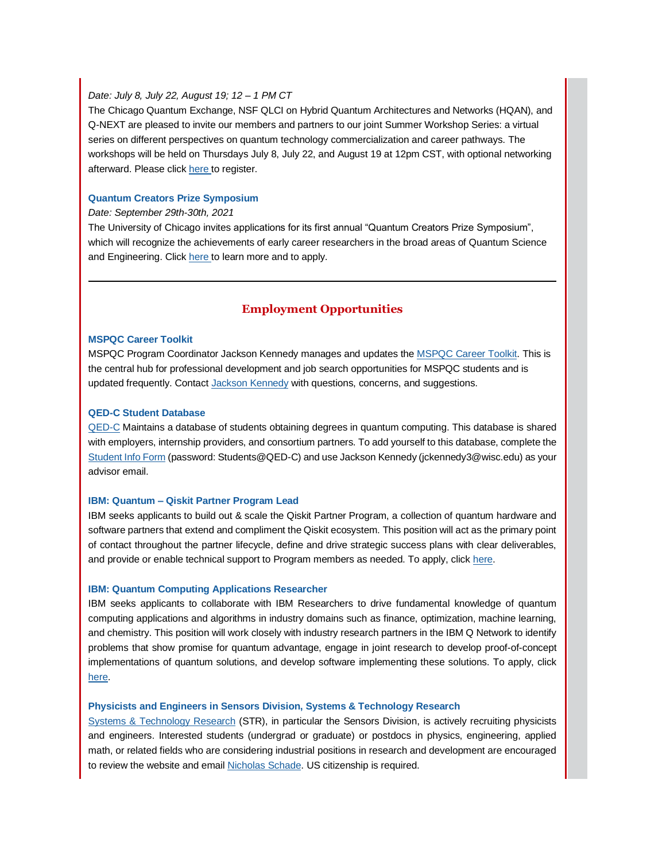# *Date: July 8, July 22, August 19; 12 – 1 PM CT*

The Chicago Quantum Exchange, NSF QLCI on Hybrid Quantum Architectures and Networks (HQAN), and Q-NEXT are pleased to invite our members and partners to our joint Summer Workshop Series: a virtual series on different perspectives on quantum technology commercialization and career pathways. The workshops will be held on Thursdays July 8, July 22, and August 19 at 12pm CST, with optional networking afterward. Please clic[k here t](https://app.explore.wisc.edu/e/er?s=1427524768&lid=19024&elqTrackId=A7B1ECE48BD7DDA7440ACCF9EC7845A5&elq=cc7ee8859e3d4b01a38f2ae54292ff10&elqaid=18086&elqat=1)o register.

#### **[Quantum Creators Prize Symposium](https://app.explore.wisc.edu/e/er?s=1427524768&lid=19293&elqTrackId=4037DD5F2D35C1A7A436AD943C37A6E9&elq=cc7ee8859e3d4b01a38f2ae54292ff10&elqaid=18086&elqat=1)**

## *Date: September 29th-30th, 2021*

The University of Chicago invites applications for its first annual "Quantum Creators Prize Symposium", which will recognize the achievements of early career researchers in the broad areas of Quantum Science and Engineering. Clic[k here t](https://app.explore.wisc.edu/e/er?s=1427524768&lid=19293&elqTrackId=C09A1C0D7176630AF9945939BB1E22E0&elq=cc7ee8859e3d4b01a38f2ae54292ff10&elqaid=18086&elqat=1)o learn more and to apply.

# **Employment Opportunities**

## **[MSPQC Career Toolkit](https://app.explore.wisc.edu/e/er?s=1427524768&lid=16119&elqTrackId=5A49858D7B279578BB1B0FB51CEEA074&elq=cc7ee8859e3d4b01a38f2ae54292ff10&elqaid=18086&elqat=1)**

MSPQC Program Coordinator Jackson Kennedy manages and updates the [MSPQC Career Toolkit.](https://app.explore.wisc.edu/e/er?s=1427524768&lid=16119&elqTrackId=09D2E0C03CA2395C49E22DEC7C8591D3&elq=cc7ee8859e3d4b01a38f2ae54292ff10&elqaid=18086&elqat=1) This is the central hub for professional development and job search opportunities for MSPQC students and is updated frequently. Contact [Jackson Kennedy](mailto:jckennedy3@wisc.edu) with questions, concerns, and suggestions.

## **[QED-C Student Database](https://app.explore.wisc.edu/e/er?s=1427524768&lid=16143&elqTrackId=3F91B3E99BC944A98E92AF38D30E52E3&elq=cc7ee8859e3d4b01a38f2ae54292ff10&elqaid=18086&elqat=1)**

[QED-C](https://app.explore.wisc.edu/e/er?s=1427524768&lid=16144&elqTrackId=A9AB285BA5BE3DC678F7230E21B22D08&elq=cc7ee8859e3d4b01a38f2ae54292ff10&elqaid=18086&elqat=1) Maintains a database of students obtaining degrees in quantum computing. This database is shared with employers, internship providers, and consortium partners. To add yourself to this database, complete the [Student Info Form](https://app.explore.wisc.edu/e/er?s=1427524768&lid=16143&elqTrackId=4394A173A56EFED3F138143AA6462B62&elq=cc7ee8859e3d4b01a38f2ae54292ff10&elqaid=18086&elqat=1) (password: Students@QED-C) and use Jackson Kennedy (jckennedy3@wisc.edu) as your advisor email.

### **IBM: Quantum – [Qiskit Partner Program Lead](https://app.explore.wisc.edu/e/er?s=1427524768&lid=19297&elqTrackId=8573273A3267DA6B3B12B486F11D42E9&elq=cc7ee8859e3d4b01a38f2ae54292ff10&elqaid=18086&elqat=1)**

IBM seeks applicants to build out & scale the Qiskit Partner Program, a collection of quantum hardware and software partners that extend and compliment the Qiskit ecosystem. This position will act as the primary point of contact throughout the partner lifecycle, define and drive strategic success plans with clear deliverables, and provide or enable technical support to Program members as needed. To apply, clic[k here.](https://app.explore.wisc.edu/e/er?s=1427524768&lid=19297&elqTrackId=78358838E7B5DFE16954212222A6D5C5&elq=cc7ee8859e3d4b01a38f2ae54292ff10&elqaid=18086&elqat=1)

## **[IBM: Quantum Computing Applications Researcher](https://app.explore.wisc.edu/e/er?s=1427524768&lid=17596&elqTrackId=C1E031904670A69F4FB4EEAFEBE2C64E&elq=cc7ee8859e3d4b01a38f2ae54292ff10&elqaid=18086&elqat=1)**

IBM seeks applicants to collaborate with IBM Researchers to drive fundamental knowledge of quantum computing applications and algorithms in industry domains such as finance, optimization, machine learning, and chemistry. This position will work closely with industry research partners in the IBM Q Network to identify problems that show promise for quantum advantage, engage in joint research to develop proof-of-concept implementations of quantum solutions, and develop software implementing these solutions. To apply, click [here.](https://app.explore.wisc.edu/e/er?s=1427524768&lid=17596&elqTrackId=C1E031904670A69F4FB4EEAFEBE2C64E&elq=cc7ee8859e3d4b01a38f2ae54292ff10&elqaid=18086&elqat=1)

## **[Physicists and Engineers in Sensors Division, Systems & Technology Research](https://app.explore.wisc.edu/e/er?s=1427524768&lid=16321&elqTrackId=EFA8A61BFF8304417BBD3010DAE9C78F&elq=cc7ee8859e3d4b01a38f2ae54292ff10&elqaid=18086&elqat=1)**

[Systems & Technology Research](https://app.explore.wisc.edu/e/er?s=1427524768&lid=16321&elqTrackId=EFA8A61BFF8304417BBD3010DAE9C78F&elq=cc7ee8859e3d4b01a38f2ae54292ff10&elqaid=18086&elqat=1) (STR), in particular the Sensors Division, is actively recruiting physicists and engineers. Interested students (undergrad or graduate) or postdocs in physics, engineering, applied math, or related fields who are considering industrial positions in research and development are encouraged to review the website and email [Nicholas Schade.](https://app.explore.wisc.edu/e/er?s=1427524768&lid=19296&elqTrackId=B10234D85CC67C7CE4B677299239C85E&elq=cc7ee8859e3d4b01a38f2ae54292ff10&elqaid=18086&elqat=1) US citizenship is required.